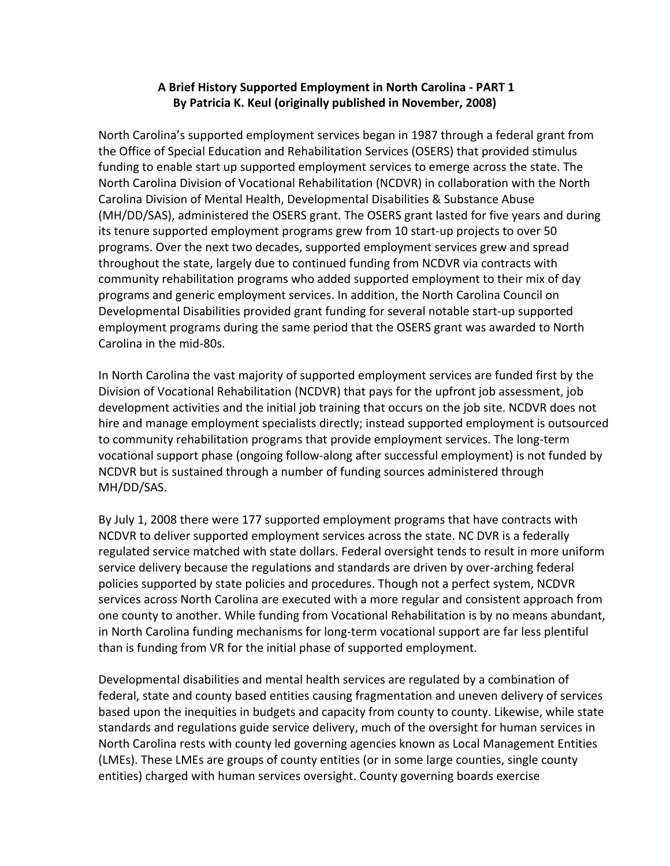## A Brief History Supported Employment in North Carolina - PART 1 **By Patricia K. Keul (originally published in November, 2008)**

North Carolina's supported employment services began in 1987 through a federal grant from the Office of Special Education and Rehabilitation Services (OSERS) that provided stimulus funding to enable start up supported employment services to emerge across the state. The North Carolina Division of Vocational Rehabilitation (NCDVR) in collaboration with the North Carolina Division of Mental Health, Developmental Disabilities & Substance Abuse (MH/DD/SAS), administered the OSERS grant. The OSERS grant lasted for five years and during its tenure supported employment programs grew from 10 start-up projects to over 50 programs. Over the next two decades, supported employment services grew and spread throughout the state, largely due to continued funding from NCDVR via contracts with community rehabilitation programs who added supported employment to their mix of day programs and generic employment services. In addition, the North Carolina Council on Developmental Disabilities provided grant funding for several notable start-up supported employment programs during the same period that the OSERS grant was awarded to North Carolina in the mid-80s.

In North Carolina the vast majority of supported employment services are funded first by the Division of Vocational Rehabilitation (NCDVR) that pays for the upfront job assessment, job development activities and the initial job training that occurs on the job site. NCDVR does not hire and manage employment specialists directly; instead supported employment is outsourced to community rehabilitation programs that provide employment services. The long-term vocational support phase (ongoing follow-along after successful employment) is not funded by NCDVR but is sustained through a number of funding sources administered through MH/DD/SAS. 

By July 1, 2008 there were 177 supported employment programs that have contracts with NCDVR to deliver supported employment services across the state. NC DVR is a federally regulated service matched with state dollars. Federal oversight tends to result in more uniform service delivery because the regulations and standards are driven by over-arching federal policies supported by state policies and procedures. Though not a perfect system, NCDVR services across North Carolina are executed with a more regular and consistent approach from one county to another. While funding from Vocational Rehabilitation is by no means abundant, in North Carolina funding mechanisms for long-term vocational support are far less plentiful than is funding from VR for the initial phase of supported employment.

Developmental disabilities and mental health services are regulated by a combination of federal, state and county based entities causing fragmentation and uneven delivery of services based upon the inequities in budgets and capacity from county to county. Likewise, while state standards and regulations guide service delivery, much of the oversight for human services in North Carolina rests with county led governing agencies known as Local Management Entities (LMEs). These LMEs are groups of county entities (or in some large counties, single county entities) charged with human services oversight. County governing boards exercise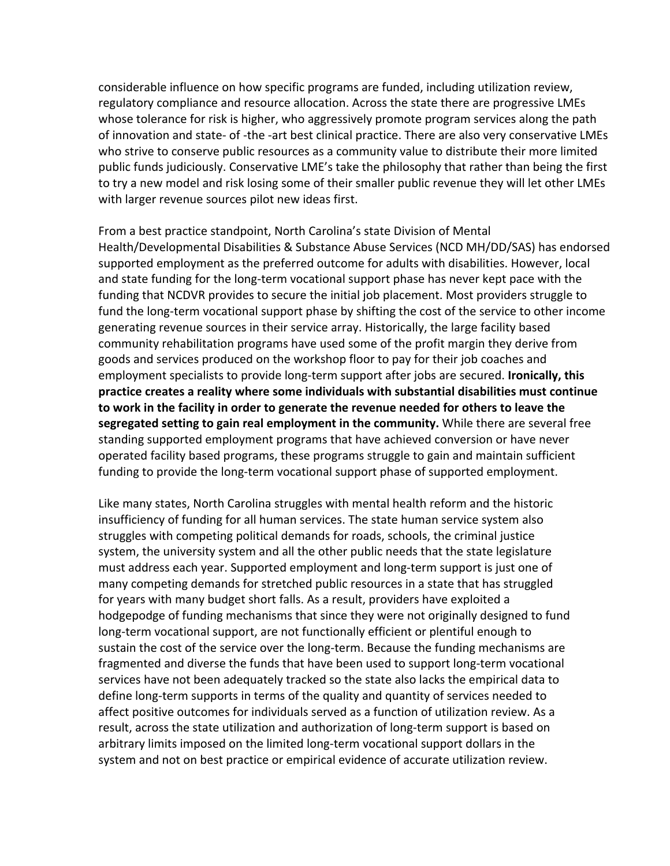considerable influence on how specific programs are funded, including utilization review, regulatory compliance and resource allocation. Across the state there are progressive LMEs whose tolerance for risk is higher, who aggressively promote program services along the path of innovation and state- of -the -art best clinical practice. There are also very conservative LMEs who strive to conserve public resources as a community value to distribute their more limited public funds judiciously. Conservative LME's take the philosophy that rather than being the first to try a new model and risk losing some of their smaller public revenue they will let other LMEs with larger revenue sources pilot new ideas first.

From a best practice standpoint, North Carolina's state Division of Mental Health/Developmental Disabilities & Substance Abuse Services (NCD MH/DD/SAS) has endorsed supported employment as the preferred outcome for adults with disabilities. However, local and state funding for the long-term vocational support phase has never kept pace with the funding that NCDVR provides to secure the initial job placement. Most providers struggle to fund the long-term vocational support phase by shifting the cost of the service to other income generating revenue sources in their service array. Historically, the large facility based community rehabilitation programs have used some of the profit margin they derive from goods and services produced on the workshop floor to pay for their job coaches and employment specialists to provide long-term support after jobs are secured. Ironically, this practice creates a reality where some individuals with substantial disabilities must continue to work in the facility in order to generate the revenue needed for others to leave the **segregated setting to gain real employment in the community.** While there are several free standing supported employment programs that have achieved conversion or have never operated facility based programs, these programs struggle to gain and maintain sufficient funding to provide the long-term vocational support phase of supported employment.

Like many states, North Carolina struggles with mental health reform and the historic insufficiency of funding for all human services. The state human service system also struggles with competing political demands for roads, schools, the criminal justice system, the university system and all the other public needs that the state legislature must address each year. Supported employment and long-term support is just one of many competing demands for stretched public resources in a state that has struggled for years with many budget short falls. As a result, providers have exploited a hodgepodge of funding mechanisms that since they were not originally designed to fund long-term vocational support, are not functionally efficient or plentiful enough to sustain the cost of the service over the long-term. Because the funding mechanisms are fragmented and diverse the funds that have been used to support long-term vocational services have not been adequately tracked so the state also lacks the empirical data to define long-term supports in terms of the quality and quantity of services needed to affect positive outcomes for individuals served as a function of utilization review. As a result, across the state utilization and authorization of long-term support is based on arbitrary limits imposed on the limited long-term vocational support dollars in the system and not on best practice or empirical evidence of accurate utilization review.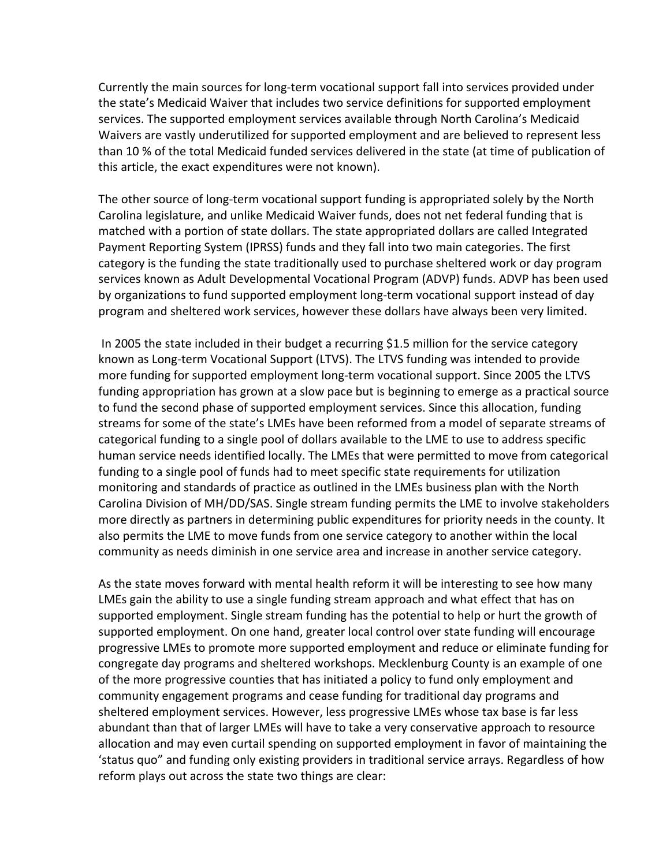Currently the main sources for long-term vocational support fall into services provided under the state's Medicaid Waiver that includes two service definitions for supported employment services. The supported employment services available through North Carolina's Medicaid Waivers are vastly underutilized for supported employment and are believed to represent less than 10 % of the total Medicaid funded services delivered in the state (at time of publication of this article, the exact expenditures were not known).

The other source of long-term vocational support funding is appropriated solely by the North Carolina legislature, and unlike Medicaid Waiver funds, does not net federal funding that is matched with a portion of state dollars. The state appropriated dollars are called Integrated Payment Reporting System (IPRSS) funds and they fall into two main categories. The first category is the funding the state traditionally used to purchase sheltered work or day program services known as Adult Developmental Vocational Program (ADVP) funds. ADVP has been used by organizations to fund supported employment long-term vocational support instead of day program and sheltered work services, however these dollars have always been very limited.

In 2005 the state included in their budget a recurring \$1.5 million for the service category known as Long-term Vocational Support (LTVS). The LTVS funding was intended to provide more funding for supported employment long-term vocational support. Since 2005 the LTVS funding appropriation has grown at a slow pace but is beginning to emerge as a practical source to fund the second phase of supported employment services. Since this allocation, funding streams for some of the state's LMEs have been reformed from a model of separate streams of categorical funding to a single pool of dollars available to the LME to use to address specific human service needs identified locally. The LMEs that were permitted to move from categorical funding to a single pool of funds had to meet specific state requirements for utilization monitoring and standards of practice as outlined in the LMEs business plan with the North Carolina Division of MH/DD/SAS. Single stream funding permits the LME to involve stakeholders more directly as partners in determining public expenditures for priority needs in the county. It also permits the LME to move funds from one service category to another within the local community as needs diminish in one service area and increase in another service category.

As the state moves forward with mental health reform it will be interesting to see how many LMEs gain the ability to use a single funding stream approach and what effect that has on supported employment. Single stream funding has the potential to help or hurt the growth of supported employment. On one hand, greater local control over state funding will encourage progressive LMEs to promote more supported employment and reduce or eliminate funding for congregate day programs and sheltered workshops. Mecklenburg County is an example of one of the more progressive counties that has initiated a policy to fund only employment and community engagement programs and cease funding for traditional day programs and sheltered employment services. However, less progressive LMEs whose tax base is far less abundant than that of larger LMEs will have to take a very conservative approach to resource allocation and may even curtail spending on supported employment in favor of maintaining the 'status quo" and funding only existing providers in traditional service arrays. Regardless of how reform plays out across the state two things are clear: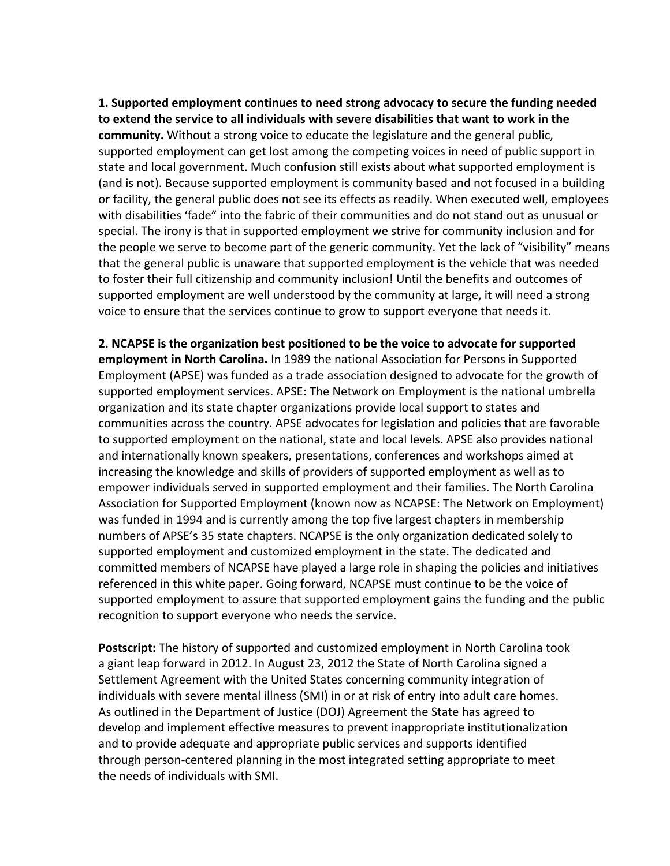**1.** Supported employment continues to need strong advocacy to secure the funding needed to extend the service to all individuals with severe disabilities that want to work in the **community.** Without a strong voice to educate the legislature and the general public, supported employment can get lost among the competing voices in need of public support in state and local government. Much confusion still exists about what supported employment is (and is not). Because supported employment is community based and not focused in a building or facility, the general public does not see its effects as readily. When executed well, employees with disabilities 'fade" into the fabric of their communities and do not stand out as unusual or special. The irony is that in supported employment we strive for community inclusion and for the people we serve to become part of the generic community. Yet the lack of "visibility" means that the general public is unaware that supported employment is the vehicle that was needed to foster their full citizenship and community inclusion! Until the benefits and outcomes of supported employment are well understood by the community at large, it will need a strong voice to ensure that the services continue to grow to support everyone that needs it.

**2.** NCAPSE is the organization best positioned to be the voice to advocate for supported **employment in North Carolina.** In 1989 the national Association for Persons in Supported Employment (APSE) was funded as a trade association designed to advocate for the growth of supported employment services. APSE: The Network on Employment is the national umbrella organization and its state chapter organizations provide local support to states and communities across the country. APSE advocates for legislation and policies that are favorable to supported employment on the national, state and local levels. APSE also provides national and internationally known speakers, presentations, conferences and workshops aimed at increasing the knowledge and skills of providers of supported employment as well as to empower individuals served in supported employment and their families. The North Carolina Association for Supported Employment (known now as NCAPSE: The Network on Employment) was funded in 1994 and is currently among the top five largest chapters in membership numbers of APSE's 35 state chapters. NCAPSE is the only organization dedicated solely to supported employment and customized employment in the state. The dedicated and committed members of NCAPSE have played a large role in shaping the policies and initiatives referenced in this white paper. Going forward, NCAPSE must continue to be the voice of supported employment to assure that supported employment gains the funding and the public recognition to support everyone who needs the service.

**Postscript:** The history of supported and customized employment in North Carolina took a giant leap forward in 2012. In August 23, 2012 the State of North Carolina signed a Settlement Agreement with the United States concerning community integration of individuals with severe mental illness (SMI) in or at risk of entry into adult care homes. As outlined in the Department of Justice (DOJ) Agreement the State has agreed to develop and implement effective measures to prevent inappropriate institutionalization and to provide adequate and appropriate public services and supports identified through person-centered planning in the most integrated setting appropriate to meet the needs of individuals with SMI.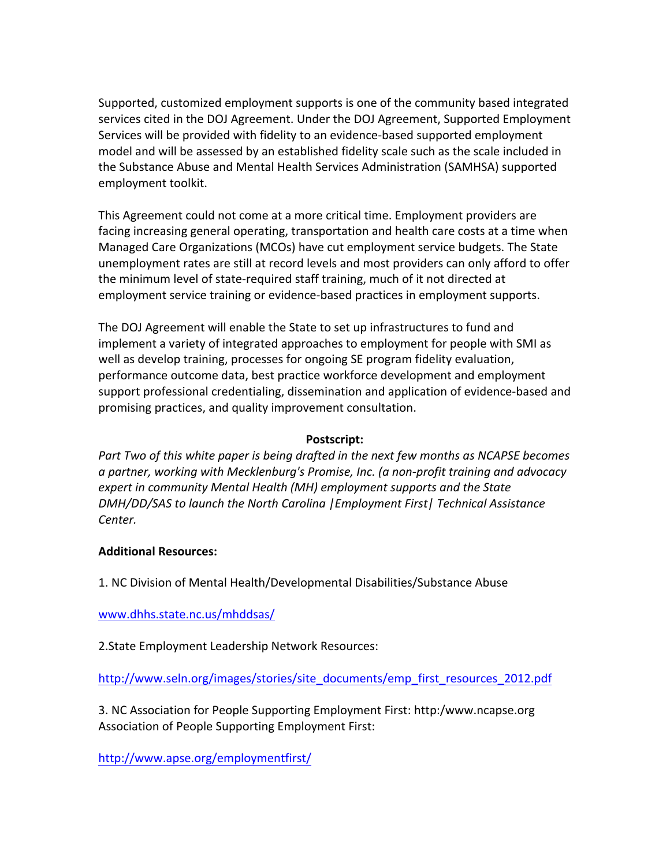Supported, customized employment supports is one of the community based integrated services cited in the DOJ Agreement. Under the DOJ Agreement, Supported Employment Services will be provided with fidelity to an evidence-based supported employment model and will be assessed by an established fidelity scale such as the scale included in the Substance Abuse and Mental Health Services Administration (SAMHSA) supported employment toolkit.

This Agreement could not come at a more critical time. Employment providers are facing increasing general operating, transportation and health care costs at a time when Managed Care Organizations (MCOs) have cut employment service budgets. The State unemployment rates are still at record levels and most providers can only afford to offer the minimum level of state-required staff training, much of it not directed at employment service training or evidence-based practices in employment supports.

The DOJ Agreement will enable the State to set up infrastructures to fund and implement a variety of integrated approaches to employment for people with SMI as well as develop training, processes for ongoing SE program fidelity evaluation, performance outcome data, best practice workforce development and employment support professional credentialing, dissemination and application of evidence-based and promising practices, and quality improvement consultation.

## **Postscript:**

*Part Two of this white paper is being drafted in the next few months as NCAPSE becomes a partner, working with Mecklenburg's Promise, Inc. (a non-profit training and advocacy expert in community Mental Health (MH) employment supports and the State DMH/DD/SAS* to launch the North Carolina | Employment First | Technical Assistance *Center.* 

## **Additional Resources:**

1. NC Division of Mental Health/Developmental Disabilities/Substance Abuse

www.dhhs.state.nc.us/mhddsas/

2. State Employment Leadership Network Resources:

http://www.seln.org/images/stories/site\_documents/emp\_first\_resources\_2012.pdf

3. NC Association for People Supporting Employment First: http:/www.ncapse.org Association of People Supporting Employment First:

http://www.apse.org/employmentfirst/